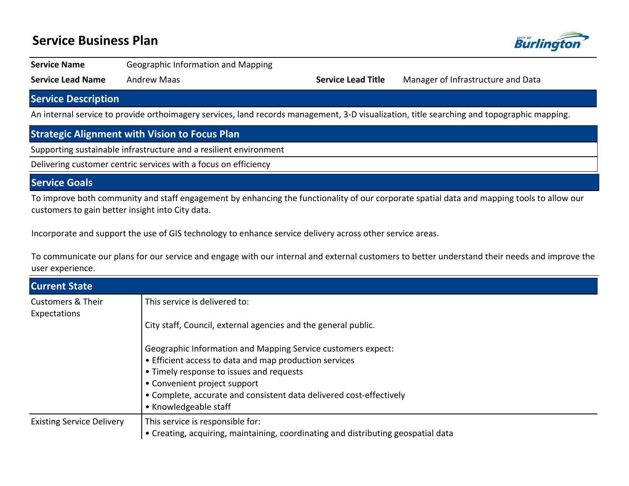## **Service Business Plan**



**Service Name Geographic Information and Mapping** 

**Service Lead Name** Andrew Maas **Service Lead Title** Manager of Infrastructure and Data

#### **Service Description**

An internal service to provide orthoimagery services, land records management, 3-D visualization, title searching and topographic mapping.

### **Strategic Alignment with Vision to Focus Plan**

Supporting sustainable infrastructure and a resilient environment

Delivering customer centric services with a focus on efficiency

#### **Service Goals**

To improve both community and staff engagement by enhancing the functionality of our corporate spatial data and mapping tools to allow our customers to gain better insight into City data.

Incorporate and support the use of GIS technology to enhance service delivery across other service areas.

To communicate our plans for our service and engage with our internal and external customers to better understand their needs and improve the user experience.

| <b>Current State</b>                         |                                                                                   |  |  |  |
|----------------------------------------------|-----------------------------------------------------------------------------------|--|--|--|
| <b>Customers &amp; Their</b><br>Expectations | This service is delivered to:                                                     |  |  |  |
|                                              | City staff, Council, external agencies and the general public.                    |  |  |  |
|                                              | Geographic Information and Mapping Service customers expect:                      |  |  |  |
|                                              | • Efficient access to data and map production services                            |  |  |  |
|                                              | • Timely response to issues and requests                                          |  |  |  |
|                                              | • Convenient project support                                                      |  |  |  |
|                                              | • Complete, accurate and consistent data delivered cost-effectively               |  |  |  |
|                                              | • Knowledgeable staff                                                             |  |  |  |
| <b>Existing Service Delivery</b>             | This service is responsible for:                                                  |  |  |  |
|                                              | • Creating, acquiring, maintaining, coordinating and distributing geospatial data |  |  |  |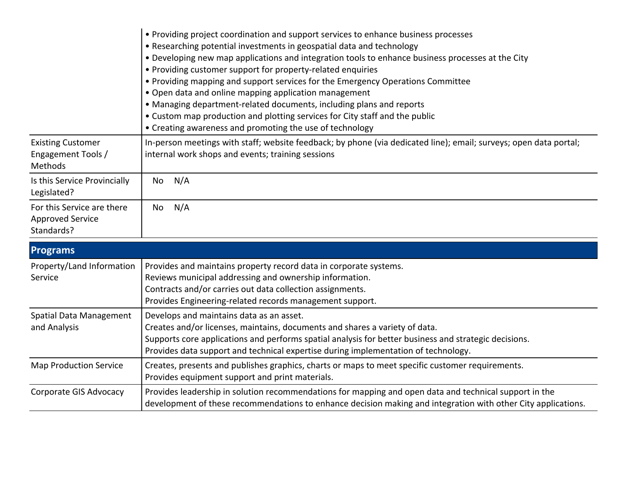|                                                                  | • Providing project coordination and support services to enhance business processes<br>• Researching potential investments in geospatial data and technology<br>. Developing new map applications and integration tools to enhance business processes at the City<br>• Providing customer support for property-related enquiries<br>• Providing mapping and support services for the Emergency Operations Committee<br>• Open data and online mapping application management<br>• Managing department-related documents, including plans and reports<br>• Custom map production and plotting services for City staff and the public<br>• Creating awareness and promoting the use of technology |
|------------------------------------------------------------------|-------------------------------------------------------------------------------------------------------------------------------------------------------------------------------------------------------------------------------------------------------------------------------------------------------------------------------------------------------------------------------------------------------------------------------------------------------------------------------------------------------------------------------------------------------------------------------------------------------------------------------------------------------------------------------------------------|
| <b>Existing Customer</b><br>Engagement Tools /<br><b>Methods</b> | In-person meetings with staff; website feedback; by phone (via dedicated line); email; surveys; open data portal;<br>internal work shops and events; training sessions                                                                                                                                                                                                                                                                                                                                                                                                                                                                                                                          |
| Is this Service Provincially<br>Legislated?                      | N/A<br>No.                                                                                                                                                                                                                                                                                                                                                                                                                                                                                                                                                                                                                                                                                      |
| For this Service are there<br>Approved Service<br>Standards?     | N/A<br>No.                                                                                                                                                                                                                                                                                                                                                                                                                                                                                                                                                                                                                                                                                      |

| <b>Programs</b>                         |                                                                                                                                                                                                                                                                                                                        |
|-----------------------------------------|------------------------------------------------------------------------------------------------------------------------------------------------------------------------------------------------------------------------------------------------------------------------------------------------------------------------|
| Property/Land Information<br>Service    | Provides and maintains property record data in corporate systems.<br>Reviews municipal addressing and ownership information.<br>Contracts and/or carries out data collection assignments.<br>Provides Engineering-related records management support.                                                                  |
| Spatial Data Management<br>and Analysis | Develops and maintains data as an asset.<br>Creates and/or licenses, maintains, documents and shares a variety of data.<br>Supports core applications and performs spatial analysis for better business and strategic decisions.<br>Provides data support and technical expertise during implementation of technology. |
| <b>Map Production Service</b>           | Creates, presents and publishes graphics, charts or maps to meet specific customer requirements.<br>Provides equipment support and print materials.                                                                                                                                                                    |
| Corporate GIS Advocacy                  | Provides leadership in solution recommendations for mapping and open data and technical support in the<br>development of these recommendations to enhance decision making and integration with other City applications.                                                                                                |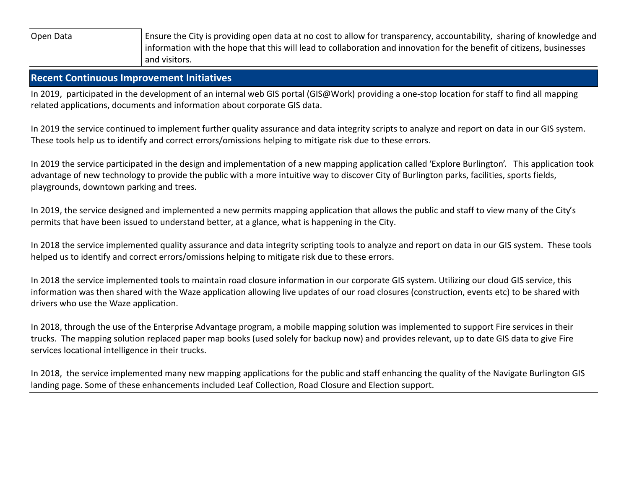Open Data **Ensure the City is providing open data at no cost to allow for transparency, accountability, sharing of knowledge and** information with the hope that this will lead to collaboration and innovation for the benefit of citizens, businesses and visitors.

#### **Recent Continuous Improvement Initiatives**

In 2019, participated in the development of an internal web GIS portal (GIS@Work) providing a one-stop location for staff to find all mapping related applications, documents and information about corporate GIS data.

In 2019 the service continued to implement further quality assurance and data integrity scripts to analyze and report on data in our GIS system. These tools help us to identify and correct errors/omissions helping to mitigate risk due to these errors.

In 2019 the service participated in the design and implementation of a new mapping application called 'Explore Burlington'. This application took advantage of new technology to provide the public with a more intuitive way to discover City of Burlington parks, facilities, sports fields, playgrounds, downtown parking and trees.

In 2019, the service designed and implemented a new permits mapping application that allows the public and staff to view many of the City's permits that have been issued to understand better, at a glance, what is happening in the City.

In 2018 the service implemented quality assurance and data integrity scripting tools to analyze and report on data in our GIS system. These tools helped us to identify and correct errors/omissions helping to mitigate risk due to these errors.

In 2018 the service implemented tools to maintain road closure information in our corporate GIS system. Utilizing our cloud GIS service, this information was then shared with the Waze application allowing live updates of our road closures (construction, events etc) to be shared with drivers who use the Waze application.

In 2018, through the use of the Enterprise Advantage program, a mobile mapping solution was implemented to support Fire services in their trucks. The mapping solution replaced paper map books (used solely for backup now) and provides relevant, up to date GIS data to give Fire services locational intelligence in their trucks.

In 2018, the service implemented many new mapping applications for the public and staff enhancing the quality of the Navigate Burlington GIS landing page. Some of these enhancements included Leaf Collection, Road Closure and Election support.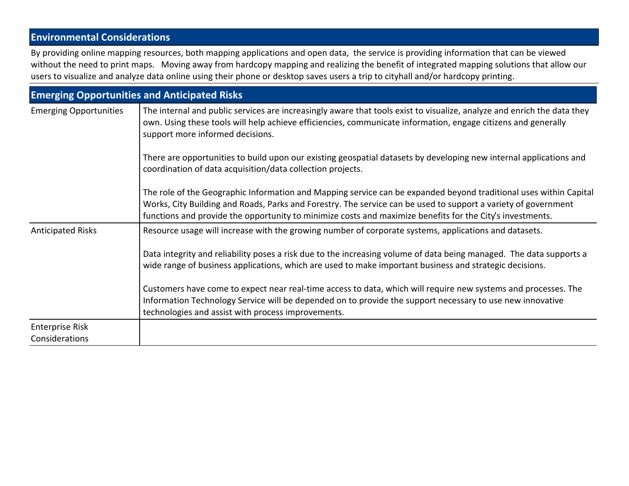### **Environmental Considerations**

By providing online mapping resources, both mapping applications and open data, the service is providing information that can be viewed without the need to print maps. Moving away from hardcopy mapping and realizing the benefit of integrated mapping solutions that allow our users to visualize and analyze data online using their phone or desktop saves users a trip to cityhall and/or hardcopy printing.

| <b>Emerging Opportunities and Anticipated Risks</b> |                                                                                                                                                                                                                                                                                                                                                  |  |  |
|-----------------------------------------------------|--------------------------------------------------------------------------------------------------------------------------------------------------------------------------------------------------------------------------------------------------------------------------------------------------------------------------------------------------|--|--|
| <b>Emerging Opportunities</b>                       | The internal and public services are increasingly aware that tools exist to visualize, analyze and enrich the data they<br>own. Using these tools will help achieve efficiencies, communicate information, engage citizens and generally<br>support more informed decisions.                                                                     |  |  |
|                                                     | There are opportunities to build upon our existing geospatial datasets by developing new internal applications and<br>coordination of data acquisition/data collection projects.                                                                                                                                                                 |  |  |
|                                                     | The role of the Geographic Information and Mapping service can be expanded beyond traditional uses within Capital<br>Works, City Building and Roads, Parks and Forestry. The service can be used to support a variety of government<br>functions and provide the opportunity to minimize costs and maximize benefits for the City's investments. |  |  |
| <b>Anticipated Risks</b>                            | Resource usage will increase with the growing number of corporate systems, applications and datasets.                                                                                                                                                                                                                                            |  |  |
|                                                     | Data integrity and reliability poses a risk due to the increasing volume of data being managed. The data supports a<br>wide range of business applications, which are used to make important business and strategic decisions.                                                                                                                   |  |  |
|                                                     | Customers have come to expect near real-time access to data, which will require new systems and processes. The<br>Information Technology Service will be depended on to provide the support necessary to use new innovative<br>technologies and assist with process improvements.                                                                |  |  |
| <b>Enterprise Risk</b><br>Considerations            |                                                                                                                                                                                                                                                                                                                                                  |  |  |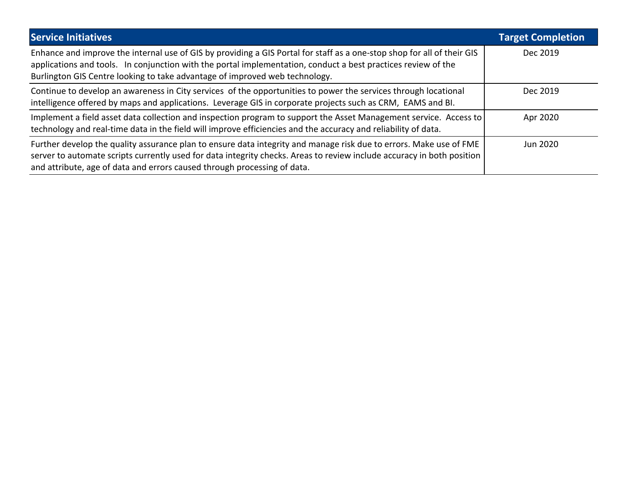| <b>Service Initiatives</b>                                                                                                                                                                                                                                                                                               | <b>Target Completion</b> |
|--------------------------------------------------------------------------------------------------------------------------------------------------------------------------------------------------------------------------------------------------------------------------------------------------------------------------|--------------------------|
| Enhance and improve the internal use of GIS by providing a GIS Portal for staff as a one-stop shop for all of their GIS<br>applications and tools. In conjunction with the portal implementation, conduct a best practices review of the<br>Burlington GIS Centre looking to take advantage of improved web technology.  | Dec 2019                 |
| Continue to develop an awareness in City services of the opportunities to power the services through locational<br>intelligence offered by maps and applications. Leverage GIS in corporate projects such as CRM, EAMS and BI.                                                                                           | Dec 2019                 |
| Implement a field asset data collection and inspection program to support the Asset Management service. Access to<br>technology and real-time data in the field will improve efficiencies and the accuracy and reliability of data.                                                                                      | Apr 2020                 |
| Further develop the quality assurance plan to ensure data integrity and manage risk due to errors. Make use of FME<br>server to automate scripts currently used for data integrity checks. Areas to review include accuracy in both position<br>and attribute, age of data and errors caused through processing of data. | Jun 2020                 |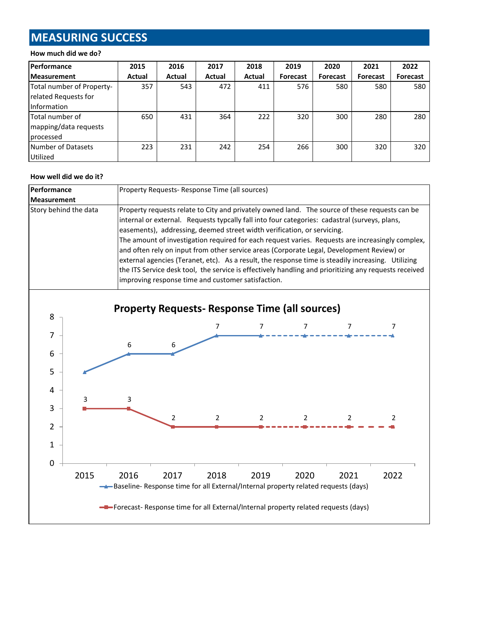# **MEASURING SUCCESS**

#### **How much did we do?**

| <b> Performance</b>       | 2015   | 2016   | 2017   | 2018   | 2019            | 2020            | 2021            | 2022            |
|---------------------------|--------|--------|--------|--------|-----------------|-----------------|-----------------|-----------------|
| <b>Measurement</b>        | Actual | Actual | Actual | Actual | <b>Forecast</b> | <b>Forecast</b> | <b>Forecast</b> | <b>Forecast</b> |
| Total number of Property- | 357    | 543    | 472    | 411    | 576             | 580             | 580             | 580             |
| related Requests for      |        |        |        |        |                 |                 |                 |                 |
| Information               |        |        |        |        |                 |                 |                 |                 |
| Total number of           | 650    | 431    | 364    | 222    | 320             | 300             | 280             | 280             |
| mapping/data requests     |        |        |        |        |                 |                 |                 |                 |
| processed                 |        |        |        |        |                 |                 |                 |                 |
| Number of Datasets        | 223    | 231    | 242    | 254    | 266             | 300             | 320             | 320             |
| <b>Utilized</b>           |        |        |        |        |                 |                 |                 |                 |

#### **How well did we do it?**

| Performance           | Property Requests- Response Time (all sources)                                                                                                                                                                                                                                                                                                                                                                                                                                                                                                                                                                                                                                                                                                   |  |  |  |
|-----------------------|--------------------------------------------------------------------------------------------------------------------------------------------------------------------------------------------------------------------------------------------------------------------------------------------------------------------------------------------------------------------------------------------------------------------------------------------------------------------------------------------------------------------------------------------------------------------------------------------------------------------------------------------------------------------------------------------------------------------------------------------------|--|--|--|
| <b>Measurement</b>    |                                                                                                                                                                                                                                                                                                                                                                                                                                                                                                                                                                                                                                                                                                                                                  |  |  |  |
| Story behind the data | Property requests relate to City and privately owned land. The source of these requests can be<br>internal or external. Requests typcally fall into four categories: cadastral (surveys, plans,<br>easements), addressing, deemed street width verification, or servicing.<br>The amount of investigation required for each request varies. Requests are increasingly complex,<br>and often rely on input from other service areas (Corporate Legal, Development Review) or<br>external agencies (Teranet, etc). As a result, the response time is steadily increasing. Utilizing<br>the ITS Service desk tool, the service is effectively handling and prioritizing any requests received<br>improving response time and customer satisfaction. |  |  |  |

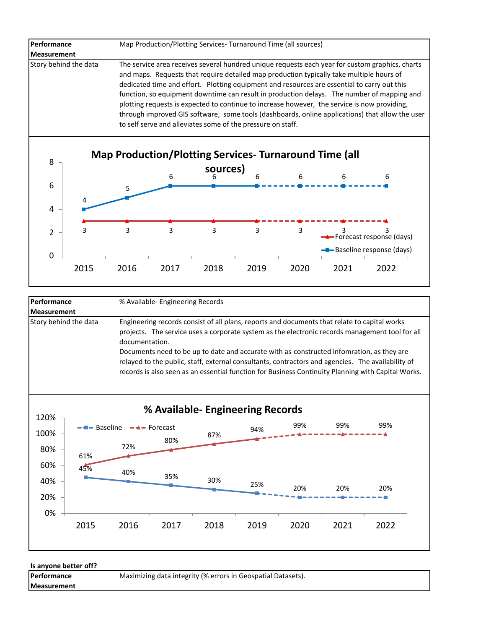| Performance           | Map Production/Plotting Services-Turnaround Time (all sources)                                                                                                                                                                                                                                                                                                                                                                                                                                                                                                                                                                                             |
|-----------------------|------------------------------------------------------------------------------------------------------------------------------------------------------------------------------------------------------------------------------------------------------------------------------------------------------------------------------------------------------------------------------------------------------------------------------------------------------------------------------------------------------------------------------------------------------------------------------------------------------------------------------------------------------------|
| <b>Measurement</b>    |                                                                                                                                                                                                                                                                                                                                                                                                                                                                                                                                                                                                                                                            |
| Story behind the data | The service area receives several hundred unique requests each year for custom graphics, charts<br>and maps. Requests that require detailed map production typically take multiple hours of<br>dedicated time and effort. Plotting equipment and resources are essential to carry out this<br>function, so equipment downtime can result in production delays. The number of mapping and<br>plotting requests is expected to continue to increase however, the service is now providing,<br>through improved GIS software, some tools (dashboards, online applications) that allow the user<br>to self serve and alleviates some of the pressure on staff. |



| Performance           | % Available- Engineering Records                                                                                                                                                                                                                                                                                                                                                                                                                                                                                          |  |  |  |
|-----------------------|---------------------------------------------------------------------------------------------------------------------------------------------------------------------------------------------------------------------------------------------------------------------------------------------------------------------------------------------------------------------------------------------------------------------------------------------------------------------------------------------------------------------------|--|--|--|
| <b>Measurement</b>    |                                                                                                                                                                                                                                                                                                                                                                                                                                                                                                                           |  |  |  |
| Story behind the data | Engineering records consist of all plans, reports and documents that relate to capital works<br>projects. The service uses a corporate system as the electronic records management tool for all<br>documentation.<br>Documents need to be up to date and accurate with as-constructed infomration, as they are<br>relayed to the public, staff, external consultants, contractors and agencies. The availability of<br>records is also seen as an essential function for Business Continuity Planning with Capital Works. |  |  |  |



**Is anyone better off?**

| <b>Performance</b> | Maximizing data integrity (% errors in Geospatial Datasets). |
|--------------------|--------------------------------------------------------------|
| <b>Measurement</b> |                                                              |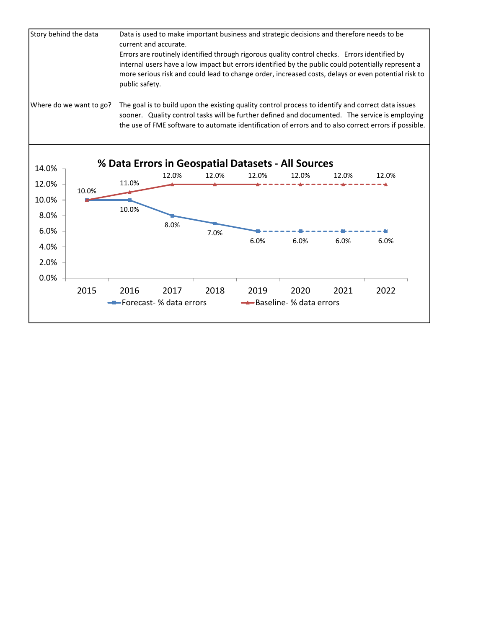